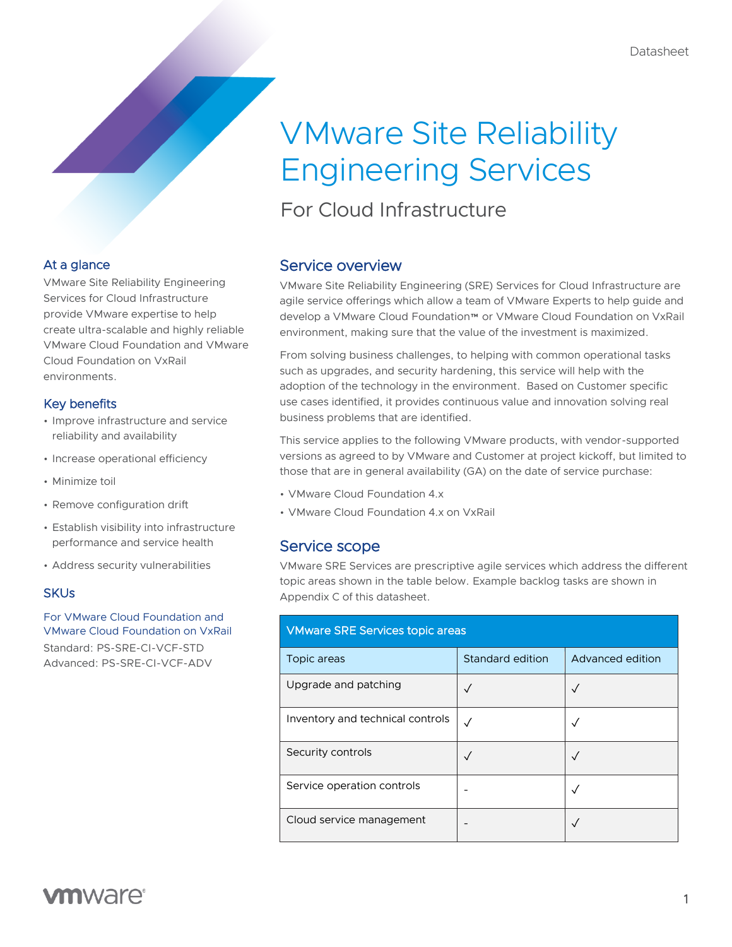# VMware Site Reliability Engineering Services

For Cloud Infrastructure

## At a glance

VMware Site Reliability Engineering Services for Cloud Infrastructure provide VMware expertise to help create ultra-scalable and highly reliable VMware Cloud Foundation and VMware Cloud Foundation on VxRail environments.

### Key benefits

- Improve infrastructure and service reliability and availability
- Increase operational efficiency
- Minimize toil
- Remove configuration drift
- Establish visibility into infrastructure performance and service health
- Address security vulnerabilities

### **SKUs**

For VMware Cloud Foundation and VMware Cloud Foundation on VxRail Standard: PS-SRE-CI-VCF-STD Advanced: PS-SRE-CI-VCF-ADV

# Service overview

VMware Site Reliability Engineering (SRE) Services for Cloud Infrastructure are agile service offerings which allow a team of VMware Experts to help guide and develop a VMware Cloud Foundation™ or VMware Cloud Foundation on VxRail environment, making sure that the value of the investment is maximized.

From solving business challenges, to helping with common operational tasks such as upgrades, and security hardening, this service will help with the adoption of the technology in the environment. Based on Customer specific use cases identified, it provides continuous value and innovation solving real business problems that are identified.

This service applies to the following VMware products, with vendor-supported versions as agreed to by VMware and Customer at project kickoff, but limited to those that are in general availability (GA) on the date of service purchase:

- VMware Cloud Foundation 4.x
- VMware Cloud Foundation 4.x on VxRail

# Service scope

VMware SRE Services are prescriptive agile services which address the different topic areas shown in the table below. Example backlog tasks are shown in Appendix C of this datasheet.

| <b>VMware SRE Services topic areas</b> |                  |                  |  |  |
|----------------------------------------|------------------|------------------|--|--|
| Topic areas                            | Standard edition | Advanced edition |  |  |
| Upgrade and patching                   | $\checkmark$     | $\sqrt{}$        |  |  |
| Inventory and technical controls       | $\checkmark$     |                  |  |  |
| Security controls                      | $\checkmark$     |                  |  |  |
| Service operation controls             | -                |                  |  |  |
| Cloud service management               |                  |                  |  |  |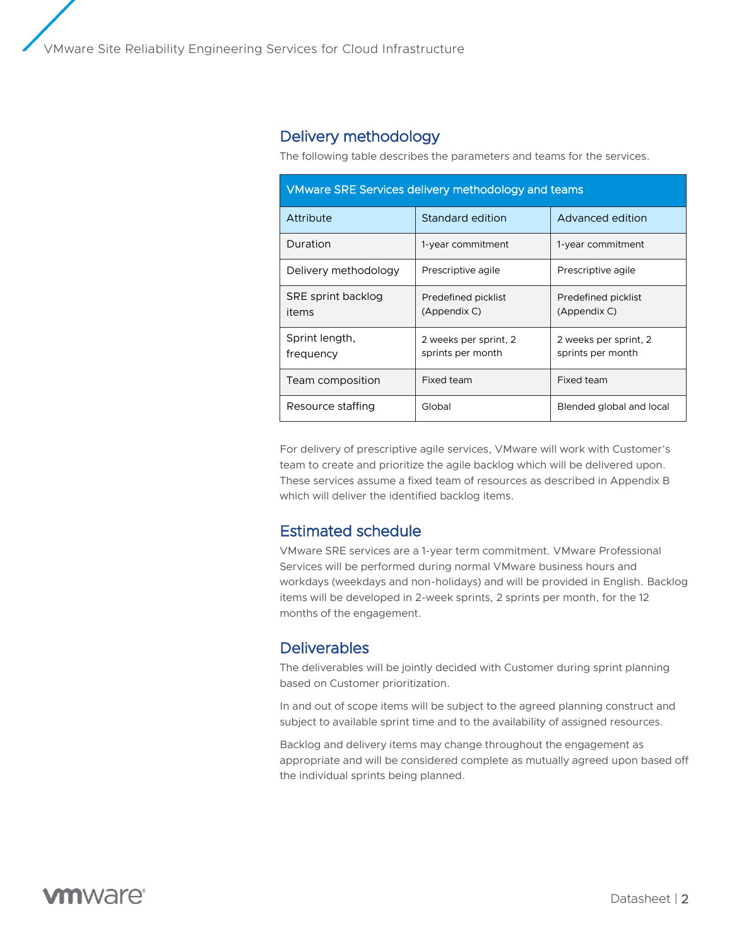# Delivery methodology

The following table describes the parameters and teams for the services.

| <b>VMware SRE Services delivery methodology and teams</b> |                                            |                                            |  |  |
|-----------------------------------------------------------|--------------------------------------------|--------------------------------------------|--|--|
| Attribute                                                 | Standard edition<br>Advanced edition       |                                            |  |  |
| Duration                                                  | 1-year commitment                          | 1-year commitment                          |  |  |
| Delivery methodology                                      | Prescriptive agile                         | Prescriptive agile                         |  |  |
| SRE sprint backlog<br>items                               | Predefined picklist<br>(Appendix C)        | Predefined picklist<br>(Appendix C)        |  |  |
| Sprint length,<br>frequency                               | 2 weeks per sprint, 2<br>sprints per month | 2 weeks per sprint, 2<br>sprints per month |  |  |
| Team composition                                          | Fixed team                                 | Fixed team                                 |  |  |
| Resource staffing                                         | Global                                     | Blended global and local                   |  |  |

For delivery of prescriptive agile services, VMware will work with Customer's team to create and prioritize the agile backlog which will be delivered upon. These services assume a fixed team of resources as described in Appendix B which will deliver the identified backlog items.

# Estimated schedule

VMware SRE services are a 1-year term commitment. VMware Professional Services will be performed during normal VMware business hours and workdays (weekdays and non-holidays) and will be provided in English. Backlog items will be developed in 2-week sprints, 2 sprints per month, for the 12 months of the engagement.

## **Deliverables**

The deliverables will be jointly decided with Customer during sprint planning based on Customer prioritization.

In and out of scope items will be subject to the agreed planning construct and subject to available sprint time and to the availability of assigned resources.

Backlog and delivery items may change throughout the engagement as appropriate and will be considered complete as mutually agreed upon based off the individual sprints being planned.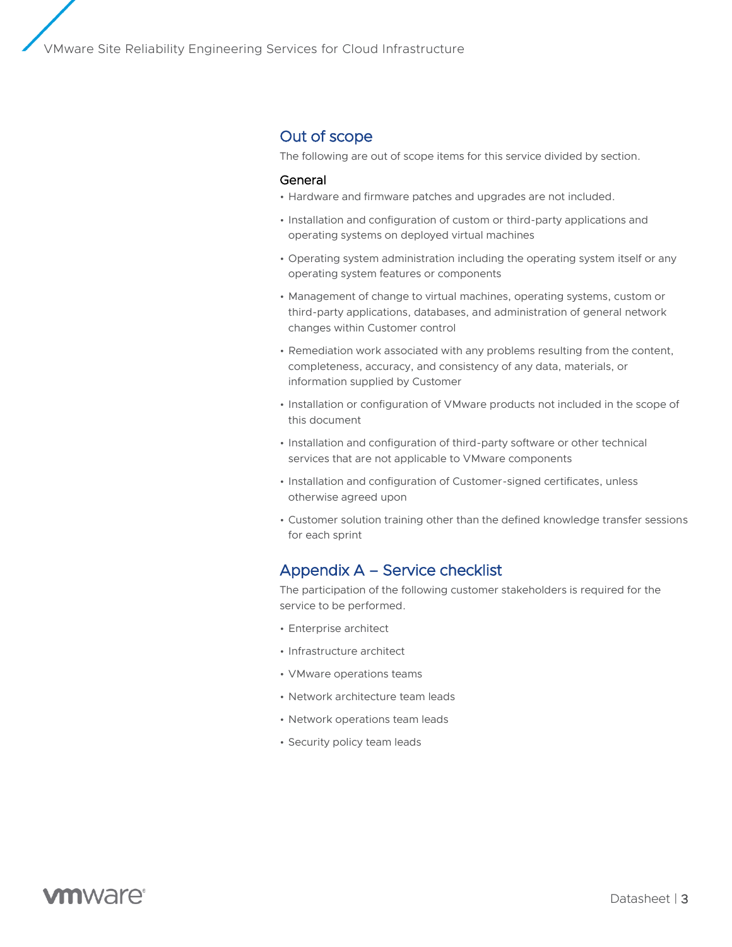### Out of scope

The following are out of scope items for this service divided by section.

#### General

- Hardware and firmware patches and upgrades are not included.
- Installation and configuration of custom or third-party applications and operating systems on deployed virtual machines
- Operating system administration including the operating system itself or any operating system features or components
- Management of change to virtual machines, operating systems, custom or third-party applications, databases, and administration of general network changes within Customer control
- Remediation work associated with any problems resulting from the content, completeness, accuracy, and consistency of any data, materials, or information supplied by Customer
- Installation or configuration of VMware products not included in the scope of this document
- Installation and configuration of third-party software or other technical services that are not applicable to VMware components
- Installation and configuration of Customer-signed certificates, unless otherwise agreed upon
- Customer solution training other than the defined knowledge transfer sessions for each sprint

### Appendix A – Service checklist

The participation of the following customer stakeholders is required for the service to be performed.

- Enterprise architect
- Infrastructure architect
- VMware operations teams
- Network architecture team leads
- Network operations team leads
- Security policy team leads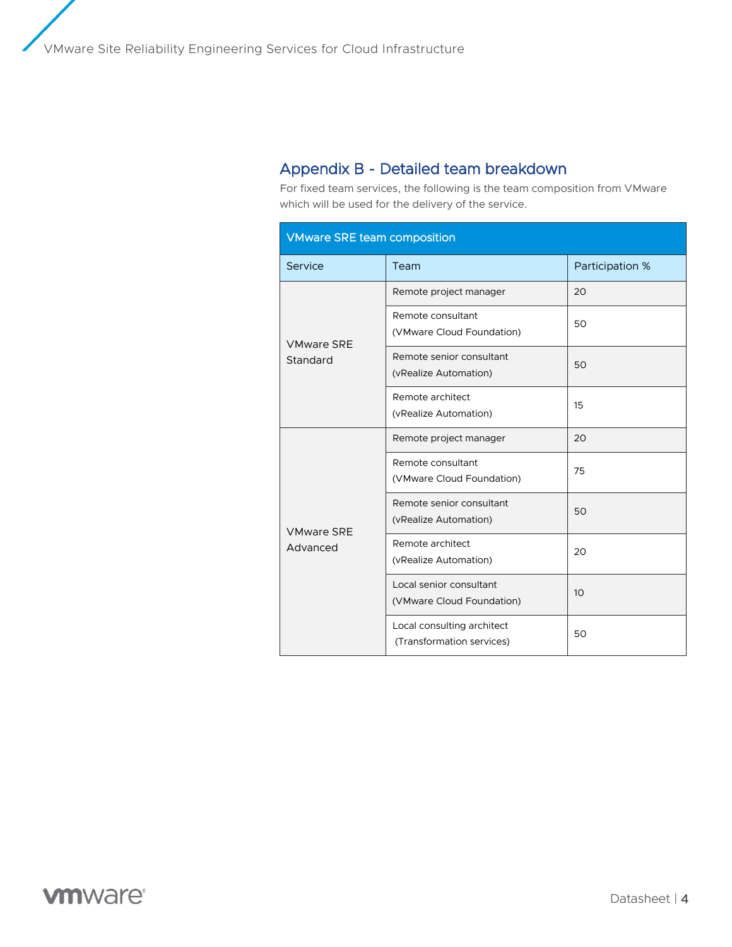# Appendix B - Detailed team breakdown

For fixed team services, the following is the team composition from VMware which will be used for the delivery of the service.

| <b>VMware SRE team composition</b> |                                                         |                 |  |  |  |
|------------------------------------|---------------------------------------------------------|-----------------|--|--|--|
| Service                            | Team                                                    | Participation % |  |  |  |
| <b>VMware SRE</b><br>Standard      | Remote project manager                                  | 20              |  |  |  |
|                                    | Remote consultant<br>(VMware Cloud Foundation)          | 50              |  |  |  |
|                                    | Remote senior consultant<br>(vRealize Automation)       | 50              |  |  |  |
|                                    | Remote architect<br>(vRealize Automation)               | 15              |  |  |  |
| <b>VMware SRE</b><br>Advanced      | Remote project manager                                  | 20              |  |  |  |
|                                    | Remote consultant<br>(VMware Cloud Foundation)          | 75              |  |  |  |
|                                    | Remote senior consultant<br>(vRealize Automation)       | 50              |  |  |  |
|                                    | Remote architect<br>(vRealize Automation)               | 20              |  |  |  |
|                                    | Local senior consultant<br>(VMware Cloud Foundation)    | 10 <sup>2</sup> |  |  |  |
|                                    | Local consulting architect<br>(Transformation services) | 50              |  |  |  |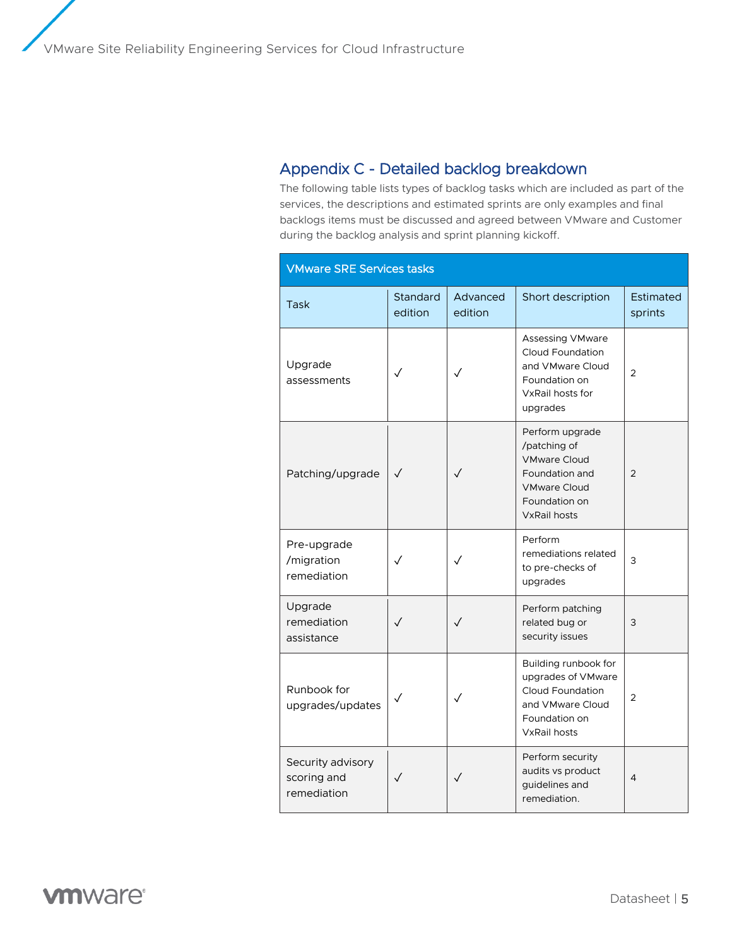# Appendix C - Detailed backlog breakdown

The following table lists types of backlog tasks which are included as part of the services, the descriptions and estimated sprints are only examples and final backlogs items must be discussed and agreed between VMware and Customer during the backlog analysis and sprint planning kickoff.

| <b>VMware SRE Services tasks</b>                |                     |                     |                                                                                                                                         |                      |
|-------------------------------------------------|---------------------|---------------------|-----------------------------------------------------------------------------------------------------------------------------------------|----------------------|
| Task                                            | Standard<br>edition | Advanced<br>edition | Short description                                                                                                                       | Estimated<br>sprints |
| Upgrade<br>assessments                          |                     | ✓                   | Assessing VMware<br><b>Cloud Foundation</b><br>and VMware Cloud<br>Foundation on<br>VxRail hosts for<br>upgrades                        | $\overline{2}$       |
| Patching/upgrade                                | $\checkmark$        | $\checkmark$        | Perform upgrade<br>/patching of<br><b>VMware Cloud</b><br>Foundation and<br><b>VMware Cloud</b><br>Foundation on<br><b>VxRail hosts</b> | $\overline{2}$       |
| Pre-upgrade<br>/migration<br>remediation        | $\sqrt{}$           | $\checkmark$        | Perform<br>remediations related<br>to pre-checks of<br>upgrades                                                                         | 3                    |
| Upgrade<br>remediation<br>assistance            | $\checkmark$        | $\checkmark$        | Perform patching<br>related bug or<br>security issues                                                                                   | 3                    |
| Runbook for<br>upgrades/updates                 | ✓                   | ✓                   | Building runbook for<br>upgrades of VMware<br><b>Cloud Foundation</b><br>and VMware Cloud<br>Foundation on<br><b>VxRail hosts</b>       | $\overline{2}$       |
| Security advisory<br>scoring and<br>remediation | ✓                   | ✓                   | Perform security<br>audits vs product<br>guidelines and<br>remediation.                                                                 | 4                    |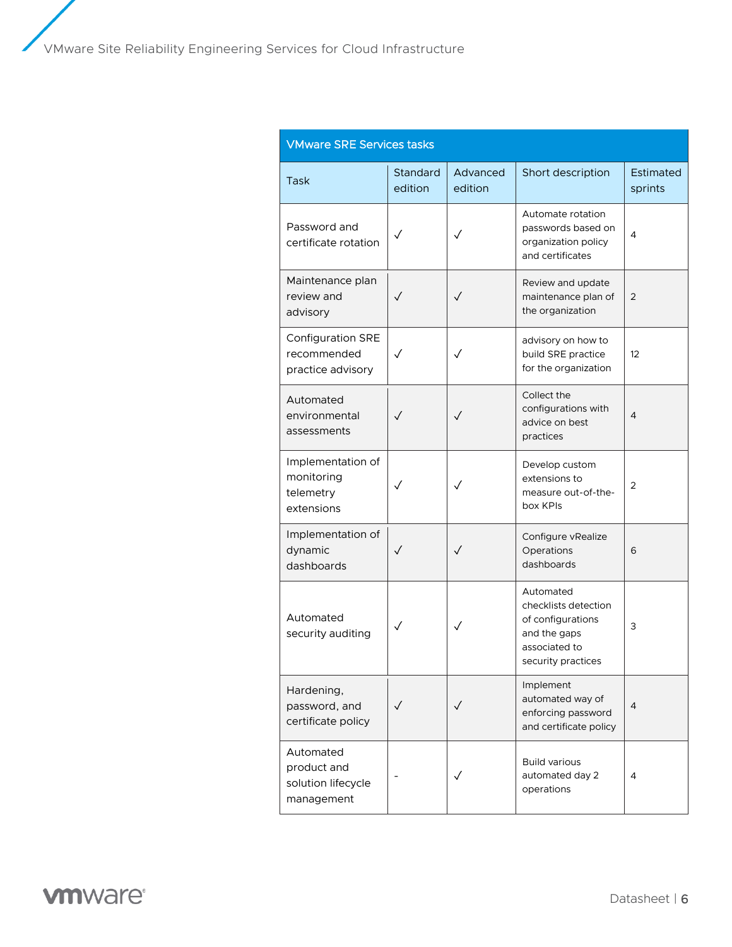| <b>VMware SRE Services tasks</b>                             |                     |                     |                                                                                                               |                      |
|--------------------------------------------------------------|---------------------|---------------------|---------------------------------------------------------------------------------------------------------------|----------------------|
| Task                                                         | Standard<br>edition | Advanced<br>edition | Short description                                                                                             | Estimated<br>sprints |
| Password and<br>certificate rotation                         |                     | ✓                   | Automate rotation<br>passwords based on<br>organization policy<br>and certificates                            | 4                    |
| Maintenance plan<br>review and<br>advisory                   | $\checkmark$        | ✓                   | Review and update<br>maintenance plan of<br>the organization                                                  | 2                    |
| Configuration SRE<br>recommended<br>practice advisory        | $\checkmark$        | $\checkmark$        | advisory on how to<br>build SRE practice<br>for the organization                                              | $12 \overline{ }$    |
| Automated<br>environmental<br>assessments                    | $\checkmark$        | $\checkmark$        | Collect the<br>configurations with<br>advice on best<br>practices                                             | $\overline{4}$       |
| Implementation of<br>monitoring<br>telemetry<br>extensions   | $\checkmark$        | ✓                   | Develop custom<br>extensions to<br>measure out-of-the-<br>box KPIs                                            | 2                    |
| Implementation of<br>dynamic<br>dashboards                   | ✓                   | $\checkmark$        | Configure vRealize<br>Operations<br>dashboards                                                                | 6                    |
| Automated<br>security auditing                               | ✓                   | ✓                   | Automated<br>checklists detection<br>of configurations<br>and the gaps<br>associated to<br>security practices | 3                    |
| Hardening,<br>password, and<br>certificate policy            | $\checkmark$        | $\checkmark$        | Implement<br>automated way of<br>enforcing password<br>and certificate policy                                 | 4                    |
| Automated<br>product and<br>solution lifecycle<br>management |                     |                     | <b>Build various</b><br>automated day 2<br>operations                                                         | $\overline{4}$       |

**vmware**®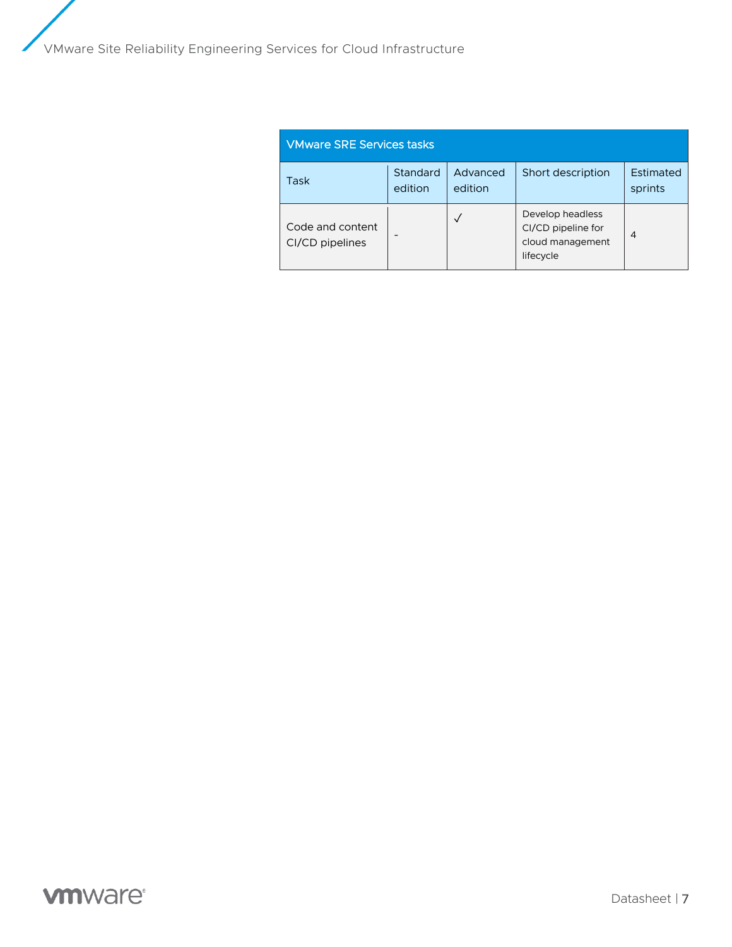| <b>VMware SRE Services tasks</b>    |                     |                     |                                                                         |                             |
|-------------------------------------|---------------------|---------------------|-------------------------------------------------------------------------|-----------------------------|
| Task                                | Standard<br>edition | Advanced<br>edition | Short description                                                       | <b>Estimated</b><br>sprints |
| Code and content<br>CI/CD pipelines |                     | $\checkmark$        | Develop headless<br>CI/CD pipeline for<br>cloud management<br>lifecycle | 4                           |

# **vmware**®